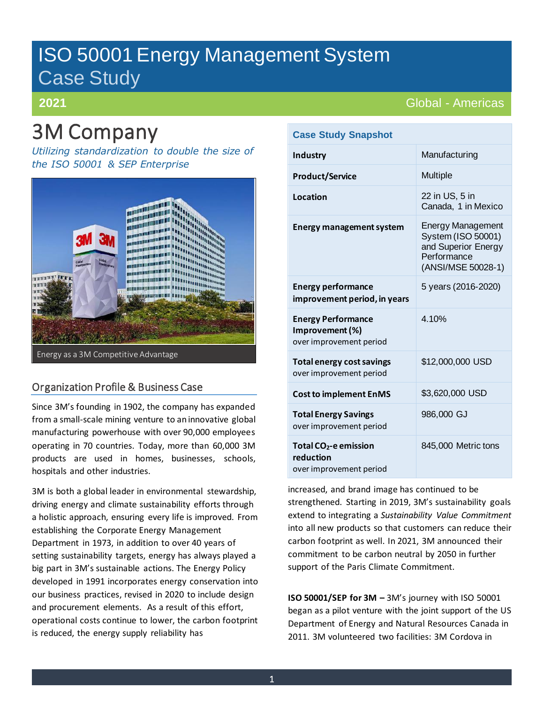# ISO 50001 Energy Management System Case Study

### **2021**

# 3M Company

*Utilizing standardization to double the size of the ISO 50001 & SEP Enterprise*



### Organization Profile & Business Case

Since 3M's founding in 1902, the company has expanded from a small-scale mining venture to an innovative global manufacturing powerhouse with over 90,000 employees operating in 70 countries. Today, more than 60,000 3M products are used in homes, businesses, schools, hospitals and other industries.

3M is both a global leader in environmental stewardship, driving energy and climate sustainability efforts through a holistic approach, ensuring every life is improved. From establishing the Corporate Energy Management Department in 1973, in addition to over 40 years of setting sustainability targets, energy has always played a big part in 3M's sustainable actions. The Energy Policy developed in 1991 incorporates energy conservation into our business practices, revised in 2020 to include design and procurement elements. As a result of this effort, operational costs continue to lower, the carbon footprint is reduced, the energy supply reliability has

## Global - Americas

| <b>Case Study Snapshot</b>                                              |                                                                                                            |
|-------------------------------------------------------------------------|------------------------------------------------------------------------------------------------------------|
| Industry                                                                | Manufacturing                                                                                              |
| <b>Product/Service</b>                                                  | <b>Multiple</b>                                                                                            |
| Location                                                                | 22 in US, 5 in<br>Canada, 1 in Mexico                                                                      |
| <b>Energy management system</b>                                         | <b>Energy Management</b><br>System (ISO 50001)<br>and Superior Energy<br>Performance<br>(ANSI/MSE 50028-1) |
| <b>Energy performance</b><br>improvement period, in years               | 5 years (2016-2020)                                                                                        |
| <b>Energy Performance</b><br>Improvement (%)<br>over improvement period | 4.10%                                                                                                      |
| <b>Total energy cost savings</b><br>over improvement period             | \$12,000,000 USD                                                                                           |
| <b>Cost to implement EnMS</b>                                           | \$3,620,000 USD                                                                                            |
| <b>Total Energy Savings</b><br>over improvement period                  | 986,000 GJ                                                                                                 |
| Total $CO2$ -e emission<br>reduction<br>over improvement period         | 845,000 Metric tons                                                                                        |

increased, and brand image has continued to be strengthened. Starting in 2019, 3M's sustainability goals extend to integrating a *Sustainability Value Commitment*  into all new products so that customers can reduce their carbon footprint as well. In 2021, 3M announced their commitment to be carbon neutral by 2050 in further support of the Paris Climate Commitment.

**ISO 50001/SEP for 3M –** 3M's journey with ISO 50001 began as a pilot venture with the joint support of the US Department of Energy and Natural Resources Canada in 2011. 3M volunteered two facilities: 3M Cordova in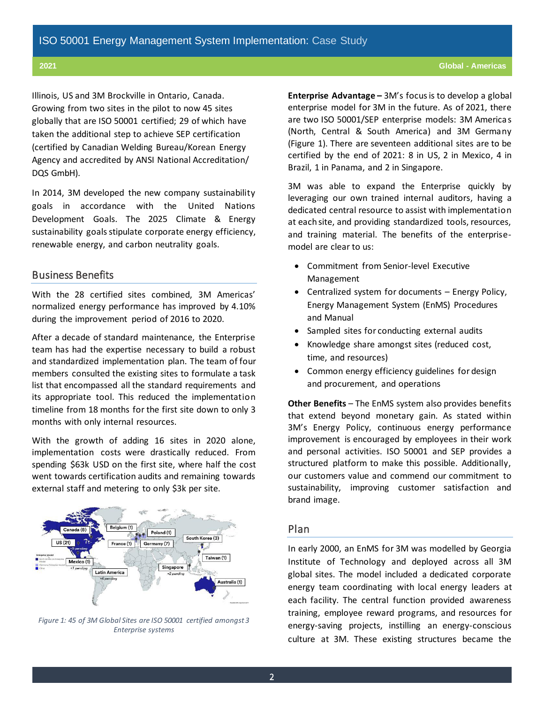Illinois, US and 3M Brockville in Ontario, Canada. Growing from two sites in the pilot to now 45 sites globally that are ISO 50001 certified; 29 of which have taken the additional step to achieve SEP certification (certified by Canadian Welding Bureau/Korean Energy Agency and accredited by ANSI National Accreditation/ DQS GmbH).

In 2014, 3M developed the new company sustainability goals in accordance with the United Nations Development Goals. The 2025 Climate & Energy sustainability goals stipulate corporate energy efficiency, renewable energy, and carbon neutrality goals.

#### Business Benefits

With the 28 certified sites combined, 3M Americas' normalized energy performance has improved by 4.10% during the improvement period of 2016 to 2020.

After a decade of standard maintenance, the Enterprise team has had the expertise necessary to build a robust and standardized implementation plan. The team of four members consulted the existing sites to formulate a task list that encompassed all the standard requirements and its appropriate tool. This reduced the implementation timeline from 18 months for the first site down to only 3 months with only internal resources.

With the growth of adding 16 sites in 2020 alone, implementation costs were drastically reduced. From spending \$63k USD on the first site, where half the cost went towards certification audits and remaining towards external staff and metering to only \$3k per site.



*Figure 1: 45 of 3M Global Sites are ISO 50001 certified amongst 3 Enterprise systems*

**Enterprise Advantage –** 3M's focus is to develop a global enterprise model for 3M in the future. As of 2021, there are two ISO 50001/SEP enterprise models: 3M Americas (North, Central & South America) and 3M Germany (Figure 1). There are seventeen additional sites are to be certified by the end of 2021: 8 in US, 2 in Mexico, 4 in Brazil, 1 in Panama, and 2 in Singapore.

3M was able to expand the Enterprise quickly by leveraging our own trained internal auditors, having a dedicated central resource to assist with implementation at each site, and providing standardized tools, resources, and training material. The benefits of the enterprisemodel are clear to us:

- Commitment from Senior-level Executive Management
- Centralized system for documents Energy Policy, Energy Management System (EnMS) Procedures and Manual
- Sampled sites for conducting external audits
- Knowledge share amongst sites (reduced cost, time, and resources)
- Common energy efficiency guidelines for design and procurement, and operations

**Other Benefits** – The EnMS system also provides benefits that extend beyond monetary gain. As stated within 3M's Energy Policy, continuous energy performance improvement is encouraged by employees in their work and personal activities. ISO 50001 and SEP provides a structured platform to make this possible. Additionally, our customers value and commend our commitment to sustainability, improving customer satisfaction and brand image.

#### Plan

In early 2000, an EnMS for 3M was modelled by Georgia Institute of Technology and deployed across all 3M global sites. The model included a dedicated corporate energy team coordinating with local energy leaders at each facility. The central function provided awareness training, employee reward programs, and resources for energy-saving projects, instilling an energy-conscious culture at 3M. These existing structures became the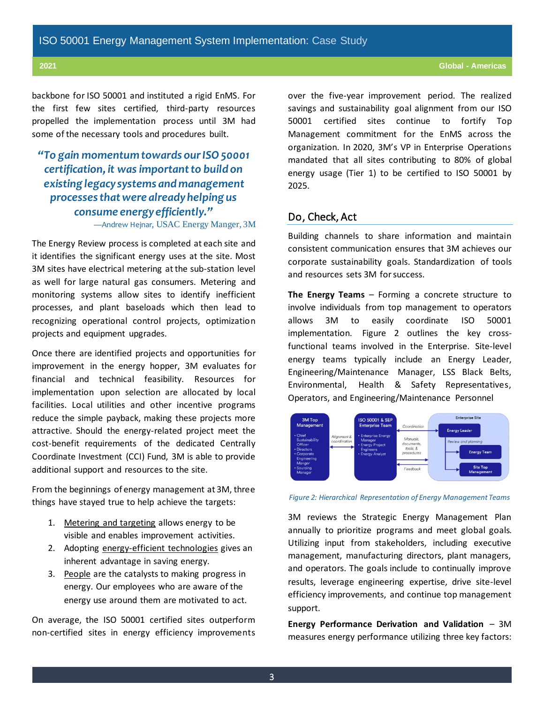**2021 Global - Americas**

backbone for ISO 50001 and instituted a rigid EnMS. For the first few sites certified, third-party resources propelled the implementation process until 3M had some of the necessary tools and procedures built.

## *"To gain momentum towards our ISO 50001 certification, it was important to build on existing legacy systems and management processes that were already helping us consume energy efficiently."*

—Andrew Hejnar, USAC Energy Manger, 3M

The Energy Review process is completed at each site and it identifies the significant energy uses at the site. Most 3M sites have electrical metering at the sub-station level as well for large natural gas consumers. Metering and monitoring systems allow sites to identify inefficient processes, and plant baseloads which then lead to recognizing operational control projects, optimization projects and equipment upgrades.

Once there are identified projects and opportunities for improvement in the energy hopper, 3M evaluates for financial and technical feasibility. Resources for implementation upon selection are allocated by local facilities. Local utilities and other incentive programs reduce the simple payback, making these projects more attractive. Should the energy-related project meet the cost-benefit requirements of the dedicated Centrally Coordinate Investment (CCI) Fund, 3M is able to provide additional support and resources to the site.

From the beginnings of energy management at 3M, three things have stayed true to help achieve the targets:

- 1. Metering and targeting allows energy to be visible and enables improvement activities.
- 2. Adopting energy-efficient technologies gives an inherent advantage in saving energy.
- 3. People are the catalysts to making progress in energy. Our employees who are aware of the energy use around them are motivated to act.

On average, the ISO 50001 certified sites outperform non-certified sites in energy efficiency improvements over the five-year improvement period. The realized savings and sustainability goal alignment from our ISO 50001 certified sites continue to fortify Top Management commitment for the EnMS across the organization. In 2020, 3M's VP in Enterprise Operations mandated that all sites contributing to 80% of global energy usage (Tier 1) to be certified to ISO 50001 by 2025.

#### Do, Check, Act

Building channels to share information and maintain consistent communication ensures that 3M achieves our corporate sustainability goals. Standardization of tools and resources sets 3M for success.

**The Energy Teams** – Forming a concrete structure to involve individuals from top management to operators allows 3M to easily coordinate ISO 50001 implementation. Figure 2 outlines the key crossfunctional teams involved in the Enterprise. Site-level energy teams typically include an Energy Leader, Engineering/Maintenance Manager, LSS Black Belts, Environmental, Health & Safety Representatives, Operators, and Engineering/Maintenance Personnel



*Figure 2: Hierarchical Representation of Energy Management Teams*

3M reviews the Strategic Energy Management Plan annually to prioritize programs and meet global goals. Utilizing input from stakeholders, including executive management, manufacturing directors, plant managers, and operators. The goals include to continually improve results, leverage engineering expertise, drive site-level efficiency improvements, and continue top management support.

**Energy Performance Derivation and Validation** – 3M measures energy performance utilizing three key factors: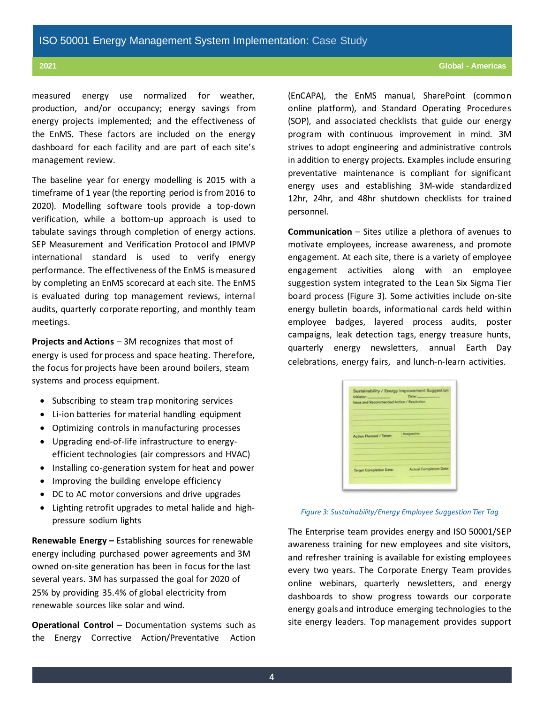measured energy use normalized for weather, production, and/or occupancy; energy savings from energy projects implemented; and the effectiveness of the EnMS. These factors are included on the energy dashboard for each facility and are part of each site's management review.

The baseline year for energy modelling is 2015 with a timeframe of 1 year (the reporting period is from 2016 to 2020). Modelling software tools provide a top-down verification, while a bottom-up approach is used to tabulate savings through completion of energy actions. SEP Measurement and Verification Protocol and IPMVP international standard is used to verify energy performance. The effectiveness of the EnMS is measured by completing an EnMS scorecard at each site. The EnMS is evaluated during top management reviews, internal audits, quarterly corporate reporting, and monthly team meetings.

**Projects and Actions** – 3M recognizes that most of energy is used for process and space heating. Therefore, the focus for projects have been around boilers, steam systems and process equipment.

- Subscribing to steam trap monitoring services
- Li-ion batteries for material handling equipment
- Optimizing controls in manufacturing processes
- Upgrading end-of-life infrastructure to energyefficient technologies (air compressors and HVAC)
- Installing co-generation system for heat and power
- Improving the building envelope efficiency
- DC to AC motor conversions and drive upgrades
- Lighting retrofit upgrades to metal halide and highpressure sodium lights

**Renewable Energy –** Establishing sources for renewable energy including purchased power agreements and 3M owned on-site generation has been in focus for the last several years. 3M has surpassed the goal for 2020 of 25% by providing 35.4% of global electricity from renewable sources like solar and wind.

**Operational Control** – Documentation systems such as the Energy Corrective Action/Preventative Action

(EnCAPA), the EnMS manual, SharePoint (common online platform), and Standard Operating Procedures (SOP), and associated checklists that guide our energy program with continuous improvement in mind. 3M strives to adopt engineering and administrative controls in addition to energy projects. Examples include ensuring preventative maintenance is compliant for significant energy uses and establishing 3M-wide standardized 12hr, 24hr, and 48hr shutdown checklists for trained personnel.

**Communication** – Sites utilize a plethora of avenues to motivate employees, increase awareness, and promote engagement. At each site, there is a variety of employee engagement activities along with an employee suggestion system integrated to the Lean Six Sigma Tier board process (Figure 3). Some activities include on-site energy bulletin boards, informational cards held within employee badges, layered process audits, poster campaigns, leak detection tags, energy treasure hunts, quarterly energy newsletters, annual Earth Day celebrations, energy fairs, and lunch-n-learn activities.

| Initiator:<br>lesse and Recommended Action / Resolution |                                |
|---------------------------------------------------------|--------------------------------|
| Action Planned / Taken:                                 | Assigned to:                   |
| <b>Target Completion Date:</b>                          | <b>Actual Completion Oate:</b> |

#### *Figure 3: Sustainability/Energy Employee Suggestion Tier Tag*

The Enterprise team provides energy and ISO 50001/SEP awareness training for new employees and site visitors, and refresher training is available for existing employees every two years. The Corporate Energy Team provides online webinars, quarterly newsletters, and energy dashboards to show progress towards our corporate energy goals and introduce emerging technologies to the site energy leaders. Top management provides support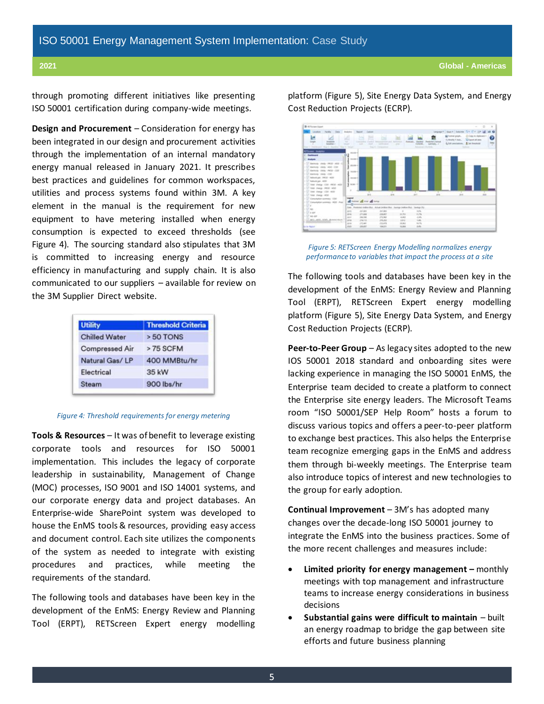through promoting different initiatives like presenting ISO 50001 certification during company-wide meetings.

**Design and Procurement** – Consideration for energy has been integrated in our design and procurement activities through the implementation of an internal mandatory energy manual released in January 2021. It prescribes best practices and guidelines for common workspaces, utilities and process systems found within 3M. A key element in the manual is the requirement for new equipment to have metering installed when energy consumption is expected to exceed thresholds (see Figure 4). The sourcing standard also stipulates that 3M is committed to increasing energy and resource efficiency in manufacturing and supply chain. It is also communicated to our suppliers – available for review on the 3M Supplier Direct website.

| <b>Utility</b>        | <b>Threshold Criteria</b> |
|-----------------------|---------------------------|
| <b>Chilled Water</b>  | > 50 TONS                 |
| <b>Compressed Air</b> | >75 SCFM                  |
| Natural Gas/LP        | 400 MMBtu/hr              |
| Electrical            | 35 kW                     |
| <b>Steam</b>          | 900 lbs/hr                |

#### *Figure 4: Threshold requirements for energy metering*

**Tools & Resources** – It was of benefit to leverage existing corporate tools and resources for ISO 50001 implementation. This includes the legacy of corporate leadership in sustainability, Management of Change (MOC) processes, ISO 9001 and ISO 14001 systems, and our corporate energy data and project databases. An Enterprise-wide SharePoint system was developed to house the EnMS tools & resources, providing easy access and document control. Each site utilizes the components of the system as needed to integrate with existing procedures and practices, while meeting the requirements of the standard.

The following tools and databases have been key in the development of the EnMS: Energy Review and Planning Tool (ERPT), RETScreen Expert energy modelling

platform (Figure 5), Site Energy Data System, and Energy Cost Reduction Projects (ECRP).



*Figure 5: RETScreen Energy Modelling normalizes energy performance to variables that impact the process at a site*

The following tools and databases have been key in the development of the EnMS: Energy Review and Planning Tool (ERPT), RETScreen Expert energy modelling platform (Figure 5), Site Energy Data System, and Energy Cost Reduction Projects (ECRP).

**Peer-to-Peer Group** – As legacy sites adopted to the new IOS 50001 2018 standard and onboarding sites were lacking experience in managing the ISO 50001 EnMS, the Enterprise team decided to create a platform to connect the Enterprise site energy leaders. The Microsoft Teams room "ISO 50001/SEP Help Room" hosts a forum to discuss various topics and offers a peer-to-peer platform to exchange best practices. This also helps the Enterprise team recognize emerging gaps in the EnMS and address them through bi-weekly meetings. The Enterprise team also introduce topics of interest and new technologies to the group for early adoption.

**Continual Improvement** – 3M's has adopted many changes over the decade-long ISO 50001 journey to integrate the EnMS into the business practices. Some of the more recent challenges and measures include:

- **Limited priority for energy management –** monthly meetings with top management and infrastructure teams to increase energy considerations in business decisions
- **Substantial gains were difficult to maintain**  built an energy roadmap to bridge the gap between site efforts and future business planning